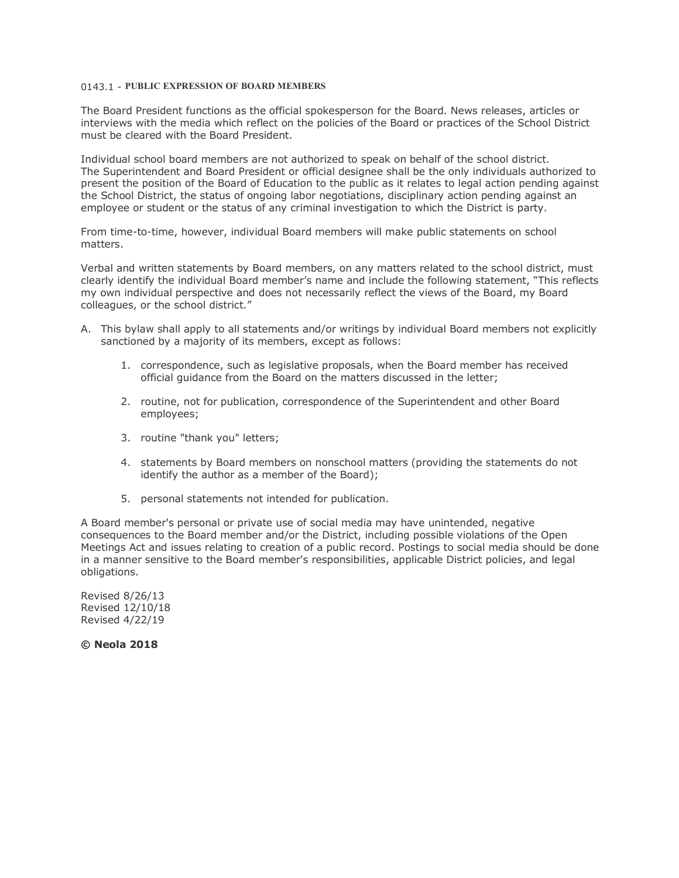# 0143.1 - **PUBLIC EXPRESSION OF BOARD MEMBERS**

The Board President functions as the official spokesperson for the Board. News releases, articles or interviews with the media which reflect on the policies of the Board or practices of the School District must be cleared with the Board President.

Individual school board members are not authorized to speak on behalf of the school district. The Superintendent and Board President or official designee shall be the only individuals authorized to present the position of the Board of Education to the public as it relates to legal action pending against the School District, the status of ongoing labor negotiations, disciplinary action pending against an employee or student or the status of any criminal investigation to which the District is party.

From time-to-time, however, individual Board members will make public statements on school matters.

Verbal and written statements by Board members, on any matters related to the school district, must clearly identify the individual Board member's name and include the following statement, "This reflects my own individual perspective and does not necessarily reflect the views of the Board, my Board colleagues, or the school district."

- A. This bylaw shall apply to all statements and/or writings by individual Board members not explicitly sanctioned by a majority of its members, except as follows:
	- 1. correspondence, such as legislative proposals, when the Board member has received official guidance from the Board on the matters discussed in the letter;
	- 2. routine, not for publication, correspondence of the Superintendent and other Board employees;
	- 3. routine "thank you" letters;
	- 4. statements by Board members on nonschool matters (providing the statements do not identify the author as a member of the Board);
	- 5. personal statements not intended for publication.

A Board member's personal or private use of social media may have unintended, negative consequences to the Board member and/or the District, including possible violations of the Open Meetings Act and issues relating to creation of a public record. Postings to social media should be done in a manner sensitive to the Board member's responsibilities, applicable District policies, and legal obligations.

Revised 8/26/13 Revised 12/10/18 Revised 4/22/19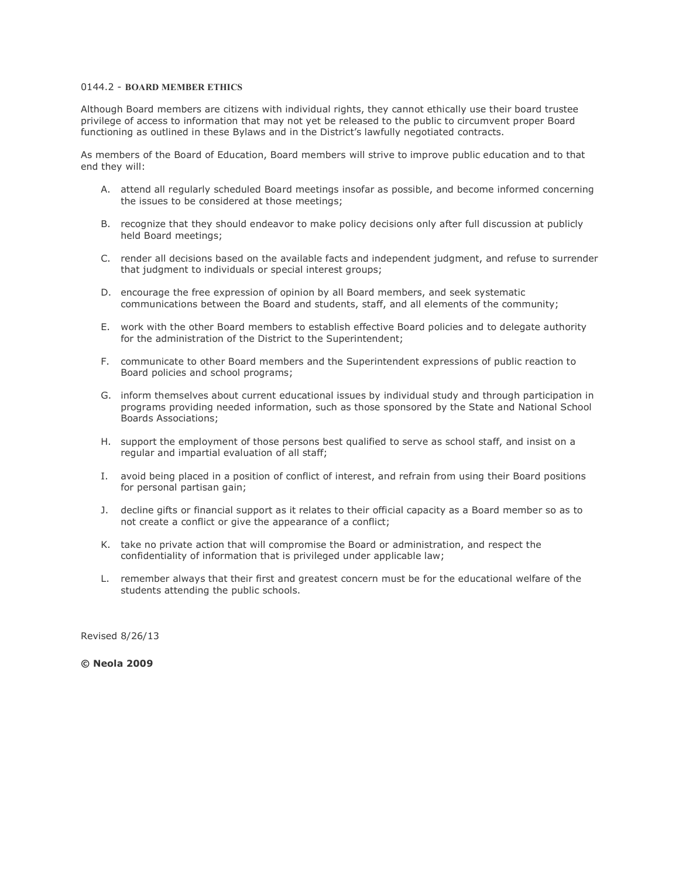# 0144.2 - **BOARD MEMBER ETHICS**

Although Board members are citizens with individual rights, they cannot ethically use their board trustee privilege of access to information that may not yet be released to the public to circumvent proper Board functioning as outlined in these Bylaws and in the District's lawfully negotiated contracts.

As members of the Board of Education, Board members will strive to improve public education and to that end they will:

- A. attend all regularly scheduled Board meetings insofar as possible, and become informed concerning the issues to be considered at those meetings;
- B. recognize that they should endeavor to make policy decisions only after full discussion at publicly held Board meetings;
- C. render all decisions based on the available facts and independent judgment, and refuse to surrender that judgment to individuals or special interest groups;
- D. encourage the free expression of opinion by all Board members, and seek systematic communications between the Board and students, staff, and all elements of the community;
- E. work with the other Board members to establish effective Board policies and to delegate authority for the administration of the District to the Superintendent;
- F. communicate to other Board members and the Superintendent expressions of public reaction to Board policies and school programs;
- G. inform themselves about current educational issues by individual study and through participation in programs providing needed information, such as those sponsored by the State and National School Boards Associations;
- H. support the employment of those persons best qualified to serve as school staff, and insist on a regular and impartial evaluation of all staff;
- I. avoid being placed in a position of conflict of interest, and refrain from using their Board positions for personal partisan gain;
- J. decline gifts or financial support as it relates to their official capacity as a Board member so as to not create a conflict or give the appearance of a conflict;
- K. take no private action that will compromise the Board or administration, and respect the confidentiality of information that is privileged under applicable law;
- L. remember always that their first and greatest concern must be for the educational welfare of the students attending the public schools.

Revised 8/26/13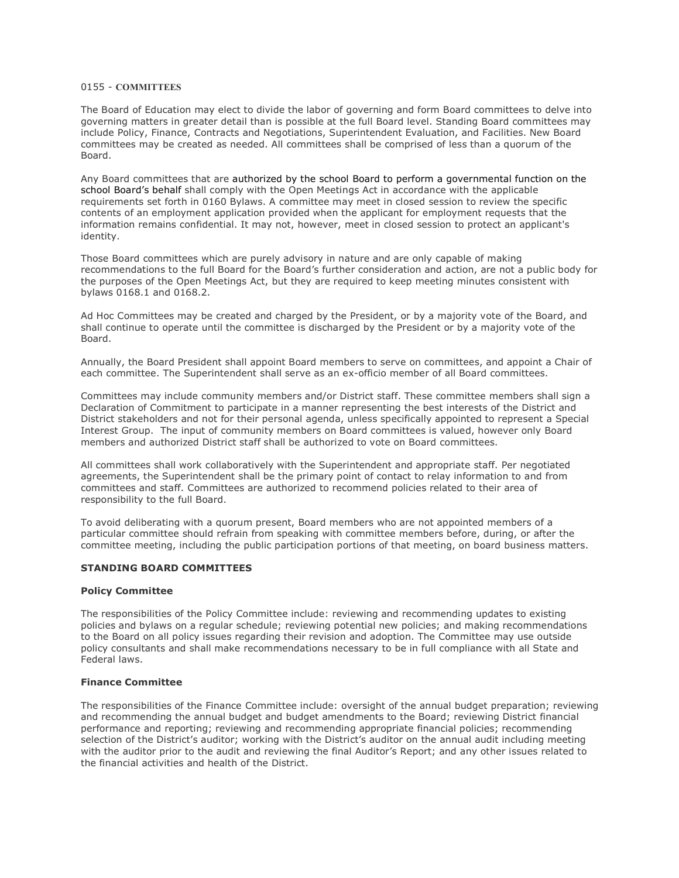## 0155 - **COMMITTEES**

The Board of Education may elect to divide the labor of governing and form Board committees to delve into governing matters in greater detail than is possible at the full Board level. Standing Board committees may include Policy, Finance, Contracts and Negotiations, Superintendent Evaluation, and Facilities. New Board committees may be created as needed. All committees shall be comprised of less than a quorum of the Board.

Any Board committees that are authorized by the school Board to perform a governmental function on the school Board's behalf shall comply with the Open Meetings Act in accordance with the applicable requirements set forth in 0160 Bylaws. A committee may meet in closed session to review the specific contents of an employment application provided when the applicant for employment requests that the information remains confidential. It may not, however, meet in closed session to protect an applicant's identity.

Those Board committees which are purely advisory in nature and are only capable of making recommendations to the full Board for the Board's further consideration and action, are not a public body for the purposes of the Open Meetings Act, but they are required to keep meeting minutes consistent with bylaws 0168.1 and 0168.2.

Ad Hoc Committees may be created and charged by the President, or by a majority vote of the Board, and shall continue to operate until the committee is discharged by the President or by a majority vote of the Board.

Annually, the Board President shall appoint Board members to serve on committees, and appoint a Chair of each committee. The Superintendent shall serve as an ex-officio member of all Board committees.

Committees may include community members and/or District staff. These committee members shall sign a Declaration of Commitment to participate in a manner representing the best interests of the District and District stakeholders and not for their personal agenda, unless specifically appointed to represent a Special Interest Group. The input of community members on Board committees is valued, however only Board members and authorized District staff shall be authorized to vote on Board committees.

All committees shall work collaboratively with the Superintendent and appropriate staff. Per negotiated agreements, the Superintendent shall be the primary point of contact to relay information to and from committees and staff. Committees are authorized to recommend policies related to their area of responsibility to the full Board.

To avoid deliberating with a quorum present, Board members who are not appointed members of a particular committee should refrain from speaking with committee members before, during, or after the committee meeting, including the public participation portions of that meeting, on board business matters.

#### **STANDING BOARD COMMITTEES**

#### **Policy Committee**

The responsibilities of the Policy Committee include: reviewing and recommending updates to existing policies and bylaws on a regular schedule; reviewing potential new policies; and making recommendations to the Board on all policy issues regarding their revision and adoption. The Committee may use outside policy consultants and shall make recommendations necessary to be in full compliance with all State and Federal laws.

## **Finance Committee**

The responsibilities of the Finance Committee include: oversight of the annual budget preparation; reviewing and recommending the annual budget and budget amendments to the Board; reviewing District financial performance and reporting; reviewing and recommending appropriate financial policies; recommending selection of the District's auditor; working with the District's auditor on the annual audit including meeting with the auditor prior to the audit and reviewing the final Auditor's Report; and any other issues related to the financial activities and health of the District.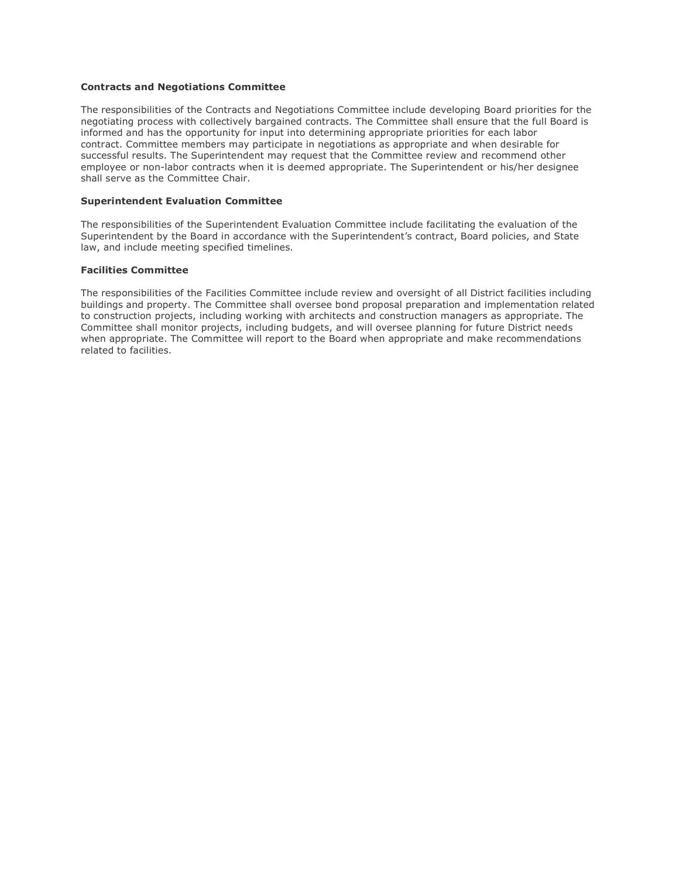#### **Contracts and Negotiations Committee**

The responsibilities of the Contracts and Negotiations Committee include developing Board priorities for the negotiating process with collectively bargained contracts. The Committee shall ensure that the full Board is informed and has the opportunity for input into determining appropriate priorities for each labor contract. Committee members may participate in negotiations as appropriate and when desirable for successful results. The Superintendent may request that the Committee review and recommend other employee or non-labor contracts when it is deemed appropriate. The Superintendent or his/her designee shall serve as the Committee Chair.

#### **Superintendent Evaluation Committee**

The responsibilities of the Superintendent Evaluation Committee include facilitating the evaluation of the Superintendent by the Board in accordance with the Superintendent's contract, Board policies, and State law, and include meeting specified timelines.

#### **Facilities Committee**

The responsibilities of the Facilities Committee include review and oversight of all District facilities including buildings and property. The Committee shall oversee bond proposal preparation and implementation related to construction projects, including working with architects and construction managers as appropriate. The Committee shall monitor projects, including budgets, and will oversee planning for future District needs when appropriate. The Committee will report to the Board when appropriate and make recommendations related to facilities.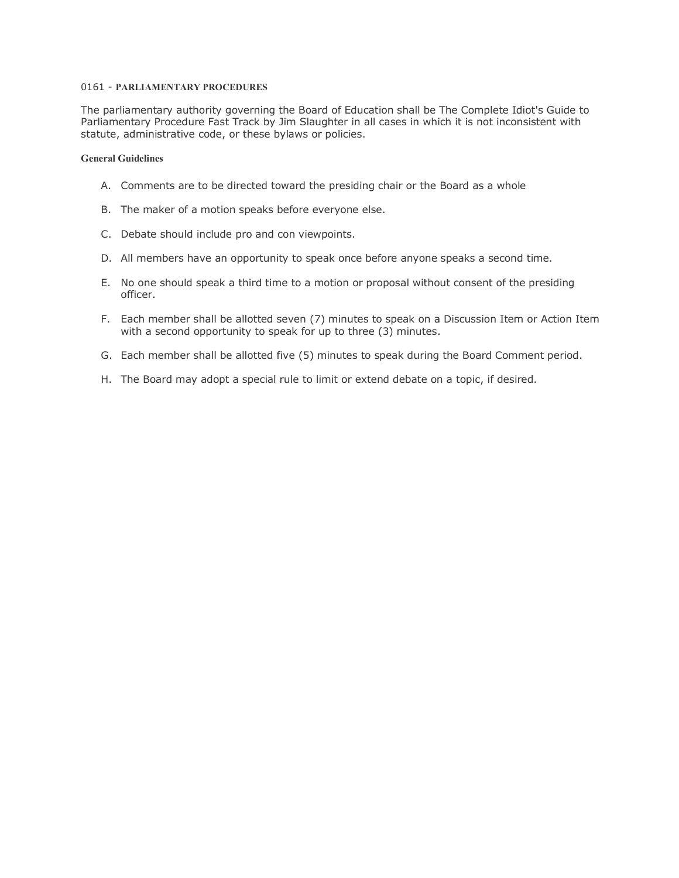# 0161 - **PARLIAMENTARY PROCEDURES**

The parliamentary authority governing the Board of Education shall be The Complete Idiot's Guide to Parliamentary Procedure Fast Track by Jim Slaughter in all cases in which it is not inconsistent with statute, administrative code, or these bylaws or policies.

# **General Guidelines**

- A. Comments are to be directed toward the presiding chair or the Board as a whole
- B. The maker of a motion speaks before everyone else.
- C. Debate should include pro and con viewpoints.
- D. All members have an opportunity to speak once before anyone speaks a second time.
- E. No one should speak a third time to a motion or proposal without consent of the presiding officer.
- F. Each member shall be allotted seven (7) minutes to speak on a Discussion Item or Action Item with a second opportunity to speak for up to three (3) minutes.
- G. Each member shall be allotted five (5) minutes to speak during the Board Comment period.
- H. The Board may adopt a special rule to limit or extend debate on a topic, if desired.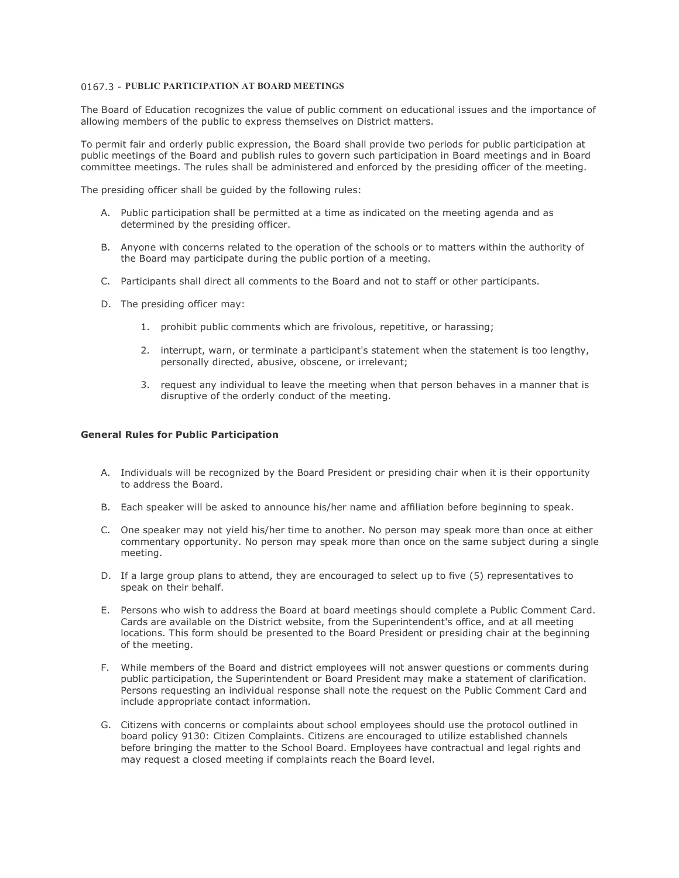# 0167.3 - **PUBLIC PARTICIPATION AT BOARD MEETINGS**

The Board of Education recognizes the value of public comment on educational issues and the importance of allowing members of the public to express themselves on District matters.

To permit fair and orderly public expression, the Board shall provide two periods for public participation at public meetings of the Board and publish rules to govern such participation in Board meetings and in Board committee meetings. The rules shall be administered and enforced by the presiding officer of the meeting.

The presiding officer shall be guided by the following rules:

- A. Public participation shall be permitted at a time as indicated on the meeting agenda and as determined by the presiding officer.
- B. Anyone with concerns related to the operation of the schools or to matters within the authority of the Board may participate during the public portion of a meeting.
- C. Participants shall direct all comments to the Board and not to staff or other participants.
- D. The presiding officer may:
	- 1. prohibit public comments which are frivolous, repetitive, or harassing;
	- 2. interrupt, warn, or terminate a participant's statement when the statement is too lengthy, personally directed, abusive, obscene, or irrelevant;
	- 3. request any individual to leave the meeting when that person behaves in a manner that is disruptive of the orderly conduct of the meeting.

#### **General Rules for Public Participation**

- A. Individuals will be recognized by the Board President or presiding chair when it is their opportunity to address the Board.
- B. Each speaker will be asked to announce his/her name and affiliation before beginning to speak.
- C. One speaker may not yield his/her time to another. No person may speak more than once at either commentary opportunity. No person may speak more than once on the same subject during a single meeting.
- D. If a large group plans to attend, they are encouraged to select up to five (5) representatives to speak on their behalf.
- E. Persons who wish to address the Board at board meetings should complete a Public Comment Card. Cards are available on the District website, from the Superintendent's office, and at all meeting locations. This form should be presented to the Board President or presiding chair at the beginning of the meeting.
- F. While members of the Board and district employees will not answer questions or comments during public participation, the Superintendent or Board President may make a statement of clarification. Persons requesting an individual response shall note the request on the Public Comment Card and include appropriate contact information.
- G. Citizens with concerns or complaints about school employees should use the protocol outlined in board policy 9130: Citizen Complaints. Citizens are encouraged to utilize established channels before bringing the matter to the School Board. Employees have contractual and legal rights and may request a closed meeting if complaints reach the Board level.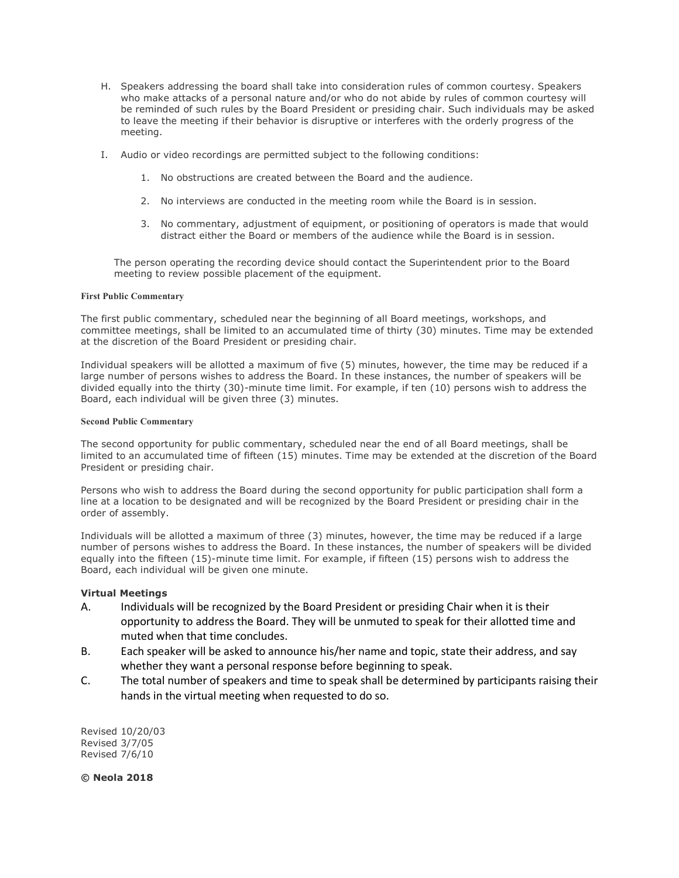- H. Speakers addressing the board shall take into consideration rules of common courtesy. Speakers who make attacks of a personal nature and/or who do not abide by rules of common courtesy will be reminded of such rules by the Board President or presiding chair. Such individuals may be asked to leave the meeting if their behavior is disruptive or interferes with the orderly progress of the meeting.
- I. Audio or video recordings are permitted subject to the following conditions:
	- 1. No obstructions are created between the Board and the audience.
	- 2. No interviews are conducted in the meeting room while the Board is in session.
	- 3. No commentary, adjustment of equipment, or positioning of operators is made that would distract either the Board or members of the audience while the Board is in session.

The person operating the recording device should contact the Superintendent prior to the Board meeting to review possible placement of the equipment.

#### **First Public Commentary**

The first public commentary, scheduled near the beginning of all Board meetings, workshops, and committee meetings, shall be limited to an accumulated time of thirty (30) minutes. Time may be extended at the discretion of the Board President or presiding chair.

Individual speakers will be allotted a maximum of five (5) minutes, however, the time may be reduced if a large number of persons wishes to address the Board. In these instances, the number of speakers will be divided equally into the thirty (30)-minute time limit. For example, if ten (10) persons wish to address the Board, each individual will be given three (3) minutes.

#### **Second Public Commentary**

The second opportunity for public commentary, scheduled near the end of all Board meetings, shall be limited to an accumulated time of fifteen (15) minutes. Time may be extended at the discretion of the Board President or presiding chair.

Persons who wish to address the Board during the second opportunity for public participation shall form a line at a location to be designated and will be recognized by the Board President or presiding chair in the order of assembly.

Individuals will be allotted a maximum of three (3) minutes, however, the time may be reduced if a large number of persons wishes to address the Board. In these instances, the number of speakers will be divided equally into the fifteen (15)-minute time limit. For example, if fifteen (15) persons wish to address the Board, each individual will be given one minute.

### **Virtual Meetings**

- A. Individuals will be recognized by the Board President or presiding Chair when it is their opportunity to address the Board. They will be unmuted to speak for their allotted time and muted when that time concludes.
- B. Each speaker will be asked to announce his/her name and topic, state their address, and say whether they want a personal response before beginning to speak.
- C. The total number of speakers and time to speak shall be determined by participants raising their hands in the virtual meeting when requested to do so.

Revised 10/20/03 Revised 3/7/05 Revised 7/6/10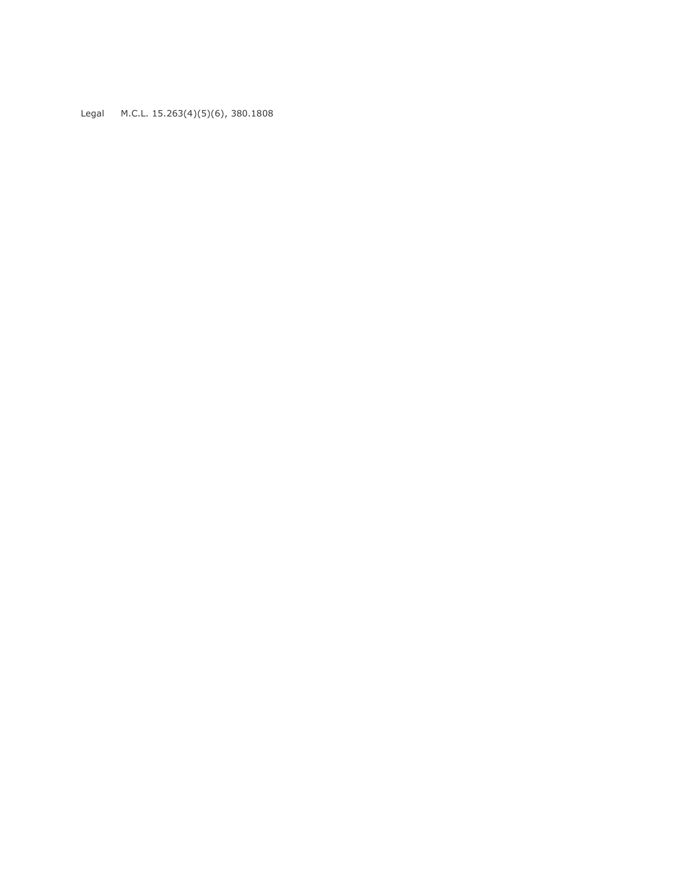Legal M.C.L. 15.263(4)(5)(6), 380.1808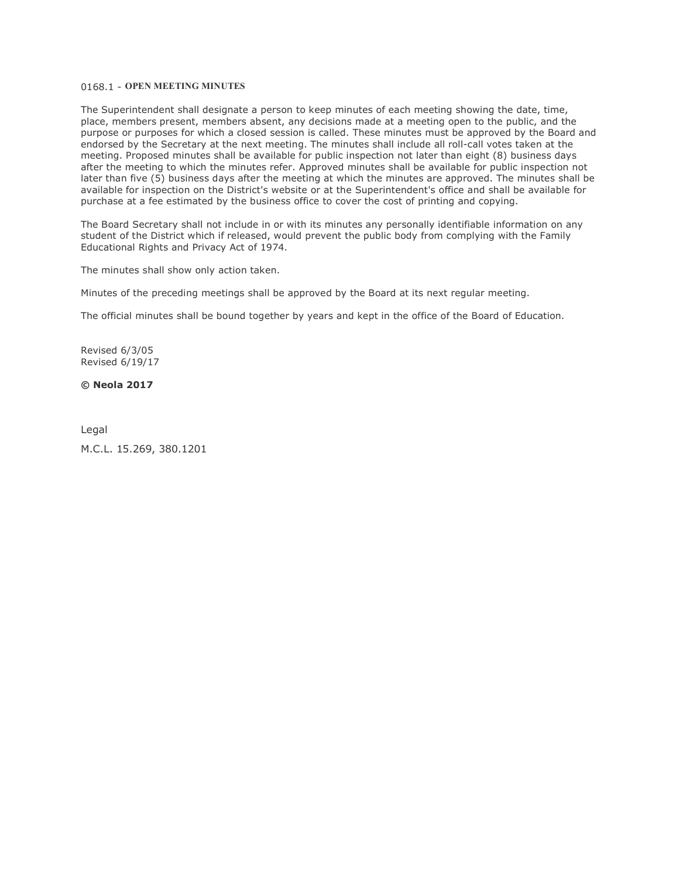#### 0168.1 - **OPEN MEETING MINUTES**

The Superintendent shall designate a person to keep minutes of each meeting showing the date, time, place, members present, members absent, any decisions made at a meeting open to the public, and the purpose or purposes for which a closed session is called. These minutes must be approved by the Board and endorsed by the Secretary at the next meeting. The minutes shall include all roll-call votes taken at the meeting. Proposed minutes shall be available for public inspection not later than eight (8) business days after the meeting to which the minutes refer. Approved minutes shall be available for public inspection not later than five (5) business days after the meeting at which the minutes are approved. The minutes shall be available for inspection on the District's website or at the Superintendent's office and shall be available for purchase at a fee estimated by the business office to cover the cost of printing and copying.

The Board Secretary shall not include in or with its minutes any personally identifiable information on any student of the District which if released, would prevent the public body from complying with the Family Educational Rights and Privacy Act of 1974.

The minutes shall show only action taken.

Minutes of the preceding meetings shall be approved by the Board at its next regular meeting.

The official minutes shall be bound together by years and kept in the office of the Board of Education.

Revised 6/3/05 Revised 6/19/17

## **© Neola 2017**

Legal M.C.L. 15.269, 380.1201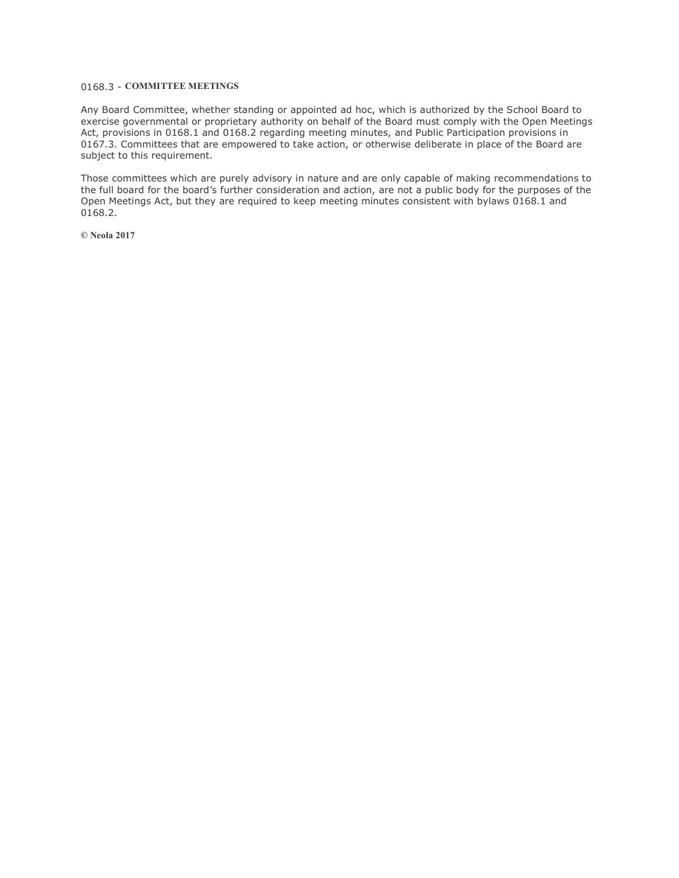# 0168.3 - **COMMITTEE MEETINGS**

Any Board Committee, whether standing or appointed ad hoc, which is authorized by the School Board to exercise governmental or proprietary authority on behalf of the Board must comply with the Open Meetings Act, provisions in 0168.1 and 0168.2 regarding meeting minutes, and Public Participation provisions in 0167.3. Committees that are empowered to take action, or otherwise deliberate in place of the Board are subject to this requirement.

Those committees which are purely advisory in nature and are only capable of making recommendations to the full board for the board's further consideration and action, are not a public body for the purposes of the Open Meetings Act, but they are required to keep meeting minutes consistent with bylaws 0168.1 and 0168.2.